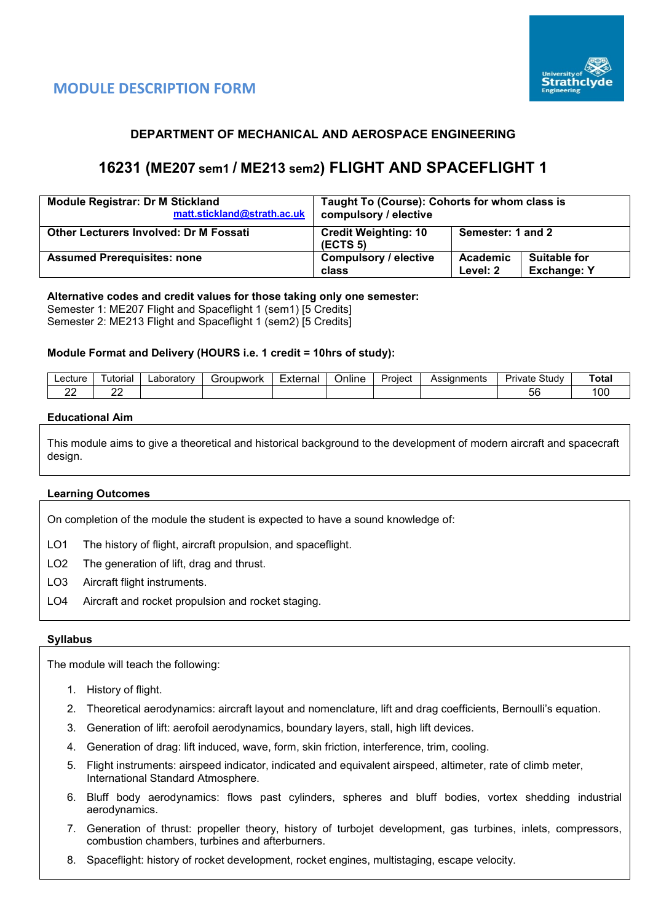



## **DEPARTMENT OF MECHANICAL AND AEROSPACE ENGINEERING**

# **16231 (ME207 sem1 / ME213 sem2) FLIGHT AND SPACEFLIGHT 1**

| <b>Module Registrar: Dr M Stickland</b><br>matt.stickland@strath.ac.uk | Taught To (Course): Cohorts for whom class is<br>compulsory / elective |                      |                                           |  |  |
|------------------------------------------------------------------------|------------------------------------------------------------------------|----------------------|-------------------------------------------|--|--|
| <b>Other Lecturers Involved: Dr M Fossati</b>                          | <b>Credit Weighting: 10</b><br>(ECTS 5)                                | Semester: 1 and 2    |                                           |  |  |
| <b>Assumed Prerequisites: none</b>                                     | <b>Compulsory / elective</b><br>class                                  | Academic<br>Level: 2 | <b>Suitable for</b><br><b>Exchange: Y</b> |  |  |

## **Alternative codes and credit values for those taking only one semester:**

Semester 1: ME207 Flight and Spaceflight 1 (sem1) [5 Credits] Semester 2: ME213 Flight and Spaceflight 1 (sem2) [5 Credits]

#### **Module Format and Delivery (HOURS i.e. 1 credit = 10hrs of study):**

| _ecture | -<br>utorial | .aboratorv | 'IDWOrk<br>∵r∩ı<br>ы | External | . .<br>⊃nlıne | Proiect | Assignments | - -<br>Study<br>— Urr<br>'ivate | ⊺otal |
|---------|--------------|------------|----------------------|----------|---------------|---------|-------------|---------------------------------|-------|
| --      | o<br>--      |            |                      |          |               |         |             | - -<br>5t                       | '00   |

#### **Educational Aim**

This module aims to give a theoretical and historical background to the development of modern aircraft and spacecraft design.

#### **Learning Outcomes**

On completion of the module the student is expected to have a sound knowledge of:

LO1 The history of flight, aircraft propulsion, and spaceflight.

- LO2 The generation of lift, drag and thrust.
- LO3 Aircraft flight instruments.
- LO4 Aircraft and rocket propulsion and rocket staging.

#### **Syllabus**

The module will teach the following:

- 1. History of flight.
- 2. Theoretical aerodynamics: aircraft layout and nomenclature, lift and drag coefficients, Bernoulli's equation.
- 3. Generation of lift: aerofoil aerodynamics, boundary layers, stall, high lift devices.
- 4. Generation of drag: lift induced, wave, form, skin friction, interference, trim, cooling.
- 5. Flight instruments: airspeed indicator, indicated and equivalent airspeed, altimeter, rate of climb meter, International Standard Atmosphere.
- 6. Bluff body aerodynamics: flows past cylinders, spheres and bluff bodies, vortex shedding industrial aerodynamics.
- 7. Generation of thrust: propeller theory, history of turbojet development, gas turbines, inlets, compressors, combustion chambers, turbines and afterburners.
- 8. Spaceflight: history of rocket development, rocket engines, multistaging, escape velocity.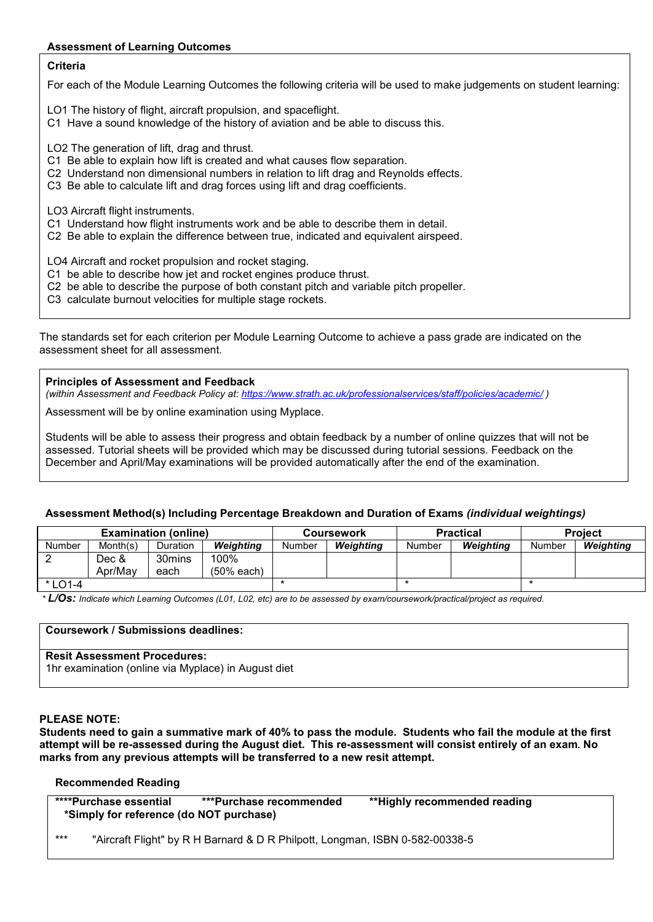#### **Assessment of Learning Outcomes**

## **Criteria**

For each of the Module Learning Outcomes the following criteria will be used to make judgements on student learning:

LO1 The history of flight, aircraft propulsion, and spaceflight.

C1 Have a sound knowledge of the history of aviation and be able to discuss this.

LO2 The generation of lift, drag and thrust.

- C1 Be able to explain how lift is created and what causes flow separation.
- C2 Understand non dimensional numbers in relation to lift drag and Reynolds effects.
- C3 Be able to calculate lift and drag forces using lift and drag coefficients.

LO3 Aircraft flight instruments.

- C1 Understand how flight instruments work and be able to describe them in detail.
- C2 Be able to explain the difference between true, indicated and equivalent airspeed.

LO4 Aircraft and rocket propulsion and rocket staging.

- C1 be able to describe how jet and rocket engines produce thrust.
- C2 be able to describe the purpose of both constant pitch and variable pitch propeller.
- C3 calculate burnout velocities for multiple stage rockets.

The standards set for each criterion per Module Learning Outcome to achieve a pass grade are indicated on the assessment sheet for all assessment.

**Principles of Assessment and Feedback**

*(within Assessment and Feedback Policy at:<https://www.strath.ac.uk/professionalservices/staff/policies/academic/> )*

Assessment will be by online examination using Myplace.

Students will be able to assess their progress and obtain feedback by a number of online quizzes that will not be assessed. Tutorial sheets will be provided which may be discussed during tutorial sessions. Feedback on the December and April/May examinations will be provided automatically after the end of the examination.

#### **Assessment Method(s) Including Percentage Breakdown and Duration of Exams** *(individual weightings)*

|           |          | <b>Examination (online)</b> |            |        | <b>Coursework</b> |        | <b>Practical</b> | <b>Project</b> |           |
|-----------|----------|-----------------------------|------------|--------|-------------------|--------|------------------|----------------|-----------|
| Number    | Month(s) | Duration                    | Weiahtina  | Number | Weiahtina         | Number | Weiahtina        | Number         | Weighting |
|           | Dec &    | 30mins                      | 100%       |        |                   |        |                  |                |           |
|           | Apr/May  | each                        | (50% each) |        |                   |        |                  |                |           |
| $*$ LO1-4 |          |                             |            |        |                   |        |                  |                |           |

*\* L/Os: Indicate which Learning Outcomes (L01, L02, etc) are to be assessed by exam/coursework/practical/project as required.*

## **Coursework / Submissions deadlines:**

### **Resit Assessment Procedures:**

1hr examination (online via Myplace) in August diet

#### **PLEASE NOTE:**

**Students need to gain a summative mark of 40% to pass the module. Students who fail the module at the first attempt will be re-assessed during the August diet. This re-assessment will consist entirely of an exam***.* **No marks from any previous attempts will be transferred to a new resit attempt.**

#### **Recommended Reading**

| ****Purchase essential<br>*Simply for reference (do NOT purchase) | ***Purchase recommended | **Highly recommended reading |  |
|-------------------------------------------------------------------|-------------------------|------------------------------|--|
| .                                                                 |                         |                              |  |

"Aircraft Flight" by R H Barnard & D R Philpott, Longman, ISBN 0-582-00338-5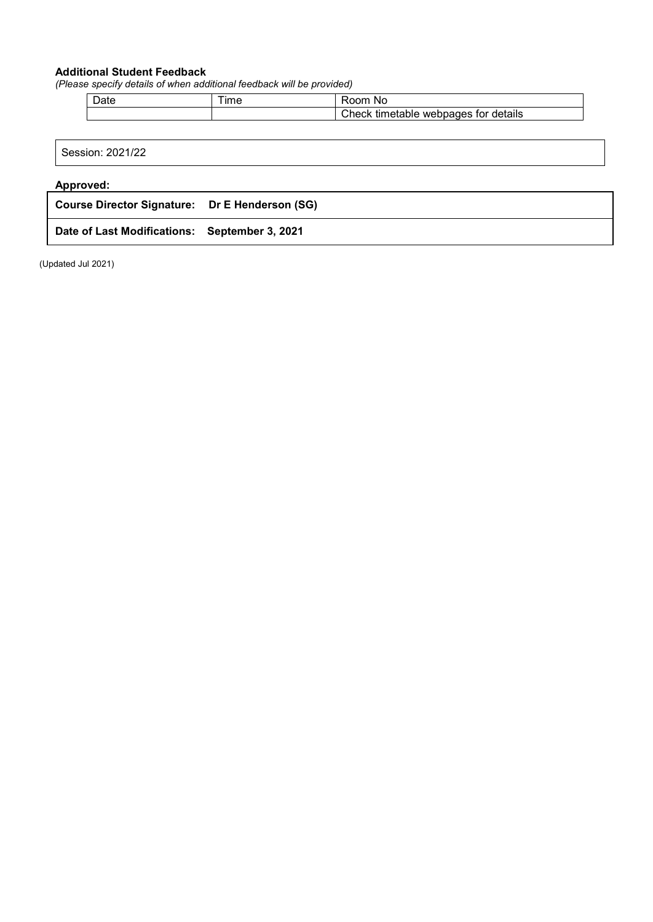## **Additional Student Feedback**

*(Please specify details of when additional feedback will be provided)*

| <br>$ -$<br><br>$n -$<br> |
|---------------------------|

| Session: 2021/22                               |  |
|------------------------------------------------|--|
| <b>Approved:</b>                               |  |
| Course Director Signature: Dr E Henderson (SG) |  |
|                                                |  |

**Date of Last Modifications: September 3, 2021**

(Updated Jul 2021)